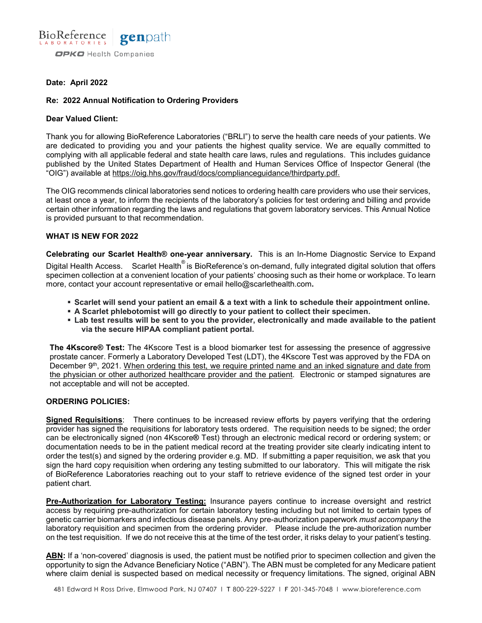

# **Date: April 2022**

# **Re: 2022 Annual Notification to Ordering Providers**

### **Dear Valued Client:**

Thank you for allowing BioReference Laboratories ("BRLI") to serve the health care needs of your patients. We are dedicated to providing you and your patients the highest quality service. We are equally committed to complying with all applicable federal and state health care laws, rules and regulations. This includes guidance published by the United States Department of Health and Human Services Office of Inspector General (the "OIG") available at [https://oig.hhs.gov/fraud/docs/complianceguidance/thirdparty.pdf.](https://oig.hhs.gov/fraud/docs/complianceguidance/thirdparty.pdf)

The OIG recommends clinical laboratories send notices to ordering health care providers who use their services, at least once a year, to inform the recipients of the laboratory's policies for test ordering and billing and provide certain other information regarding the laws and regulations that govern laboratory services. This Annual Notice is provided pursuant to that recommendation.

### **WHAT IS NEW FOR 2022**

**Celebrating our Scarlet Health® one-year anniversary.** This is an In-Home Diagnostic Service to Expand Digital Health Access. Scarlet Health<sup>®</sup> is BioReference's on-demand, fully integrated digital solution that offers specimen collection at a convenient location of your patients' choosing such as their home or workplace. To learn more, contact your account representative or email [hello@scarlethealth.com](mailto:hello@scarlethealth.com)**.** 

- **Scarlet will send your patient an email & a text with a link to schedule their appointment online.**
- **A Scarlet phlebotomist will go directly to your patient to collect their specimen.**
- **Lab test results will be sent to you the provider, electronically and made available to the patient via the secure HIPAA compliant patient portal.**

**The 4Kscore® Test:** The 4Kscore Test is a blood biomarker test for assessing the presence of aggressive prostate cancer. Formerly a Laboratory Developed Test (LDT), the 4Kscore Test was approved by the FDA on December 9<sup>th</sup>, 2021. When ordering this test, we require printed name and an inked signature and date from the physician or other authorized healthcare provider and the patient. Electronic or stamped signatures are not acceptable and will not be accepted.

# **ORDERING POLICIES:**

**Signed Requisitions**: There continues to be increased review efforts by payers verifying that the ordering provider has signed the requisitions for laboratory tests ordered. The requisition needs to be signed; the order can be electronically signed (non 4Kscore**®** Test) through an electronic medical record or ordering system; or documentation needs to be in the patient medical record at the treating provider site clearly indicating intent to order the test(s) and signed by the ordering provider e.g. MD. If submitting a paper requisition, we ask that you sign the hard copy requisition when ordering any testing submitted to our laboratory. This will mitigate the risk of BioReference Laboratories reaching out to your staff to retrieve evidence of the signed test order in your patient chart.

**Pre-Authorization for Laboratory Testing:** Insurance payers continue to increase oversight and restrict access by requiring pre-authorization for certain laboratory testing including but not limited to certain types of genetic carrier biomarkers and infectious disease panels. Any pre-authorization paperwork *must accompany* the laboratory requisition and specimen from the ordering provider. Please include the pre-authorization number on the test requisition. If we do not receive this at the time of the test order, it risks delay to your patient's testing.

**ABN:** If a 'non-covered' diagnosis is used, the patient must be notified prior to specimen collection and given the opportunity to sign the Advance Beneficiary Notice ("ABN"). The ABN must be completed for any Medicare patient where claim denial is suspected based on medical necessity or frequency limitations. The signed, original ABN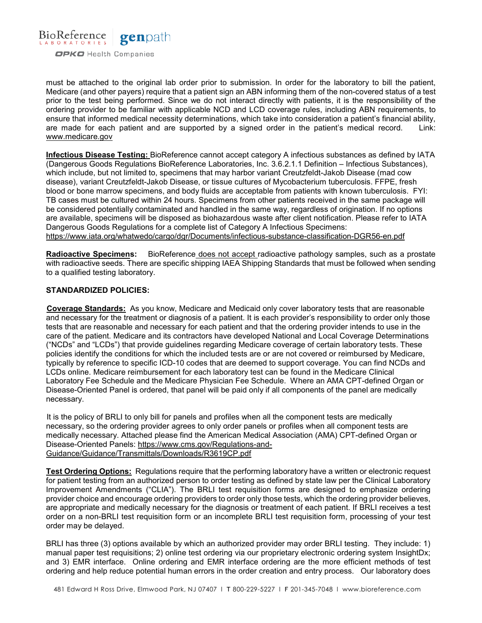

must be attached to the original lab order prior to submission. In order for the laboratory to bill the patient, Medicare (and other payers) require that a patient sign an ABN informing them of the non-covered status of a test prior to the test being performed. Since we do not interact directly with patients, it is the responsibility of the ordering provider to be familiar with applicable NCD and LCD coverage rules, including ABN requirements, to ensure that informed medical necessity determinations, which take into consideration a patient's financial ability, are made for each patient and are supported by a signed order in the patient's medical record. Link: [www.medicare.gov](http://www.medicare.gov/)

**Infectious Disease Testing:** BioReference cannot accept category A infectious substances as defined by IATA (Dangerous Goods Regulations BioReference Laboratories, Inc. 3.6.2.1.1 Definition – Infectious Substances), which include, but not limited to, specimens that may harbor variant Creutzfeldt-Jakob Disease (mad cow disease), variant Creutzfeldt-Jakob Disease, or tissue cultures of Mycobacterium tuberculosis. FFPE, fresh blood or bone marrow specimens, and body fluids are acceptable from patients with known tuberculosis. FYI: TB cases must be cultured within 24 hours. Specimens from other patients received in the same package will be considered potentially contaminated and handled in the same way, regardless of origination. If no options are available, specimens will be disposed as biohazardous waste after client notification. Please refer to IATA Dangerous Goods Regulations for a complete list of Category A Infectious Specimens: <https://www.iata.org/whatwedo/cargo/dgr/Documents/infectious-substance-classification-DGR56-en.pdf>

**Radioactive Specimens:** BioReference does not accept radioactive pathology samples, such as a prostate with radioactive seeds. There are specific shipping IAEA Shipping Standards that must be followed when sending to a qualified testing laboratory.

### **STANDARDIZED POLICIES:**

**Coverage Standards:** As you know, Medicare and Medicaid only cover laboratory tests that are reasonable and necessary for the treatment or diagnosis of a patient. It is each provider's responsibility to order only those tests that are reasonable and necessary for each patient and that the ordering provider intends to use in the care of the patient. Medicare and its contractors have developed National and Local Coverage Determinations ("NCDs" and "LCDs") that provide guidelines regarding Medicare coverage of certain laboratory tests. These policies identify the conditions for which the included tests are or are not covered or reimbursed by Medicare, typically by reference to specific ICD-10 codes that are deemed to support coverage. You can find NCDs and LCDs online. Medicare reimbursement for each laboratory test can be found in the Medicare Clinical Laboratory Fee Schedule and the Medicare Physician Fee Schedule. Where an AMA CPT-defined Organ or Disease-Oriented Panel is ordered, that panel will be paid only if all components of the panel are medically necessary.

It is the policy of BRLI to only bill for panels and profiles when all the component tests are medically necessary, so the ordering provider agrees to only order panels or profiles when all component tests are medically necessary. Attached please find the American Medical Association (AMA) CPT-defined Organ or Disease-Oriented Panels: [https://www.cms.gov/Regulations-and-](https://www.cms.gov/Regulations-and-Guidance/Guidance/Transmittals/Downloads/R3619CP.pdf)[Guidance/Guidance/Transmittals/Downloads/R3619CP.pdf](https://www.cms.gov/Regulations-and-Guidance/Guidance/Transmittals/Downloads/R3619CP.pdf)

**Test Ordering Options:** Regulations require that the performing laboratory have a written or electronic request for patient testing from an authorized person to order testing as defined by state law per the Clinical Laboratory Improvement Amendments ("CLIA"). The BRLI test requisition forms are designed to emphasize ordering provider choice and encourage ordering providers to order only those tests, which the ordering provider believes, are appropriate and medically necessary for the diagnosis or treatment of each patient. If BRLI receives a test order on a non-BRLI test requisition form or an incomplete BRLI test requisition form, processing of your test order may be delayed.

BRLI has three (3) options available by which an authorized provider may order BRLI testing. They include: 1) manual paper test requisitions; 2) online test ordering via our proprietary electronic ordering system InsightDx; and 3) EMR interface. Online ordering and EMR interface ordering are the more efficient methods of test ordering and help reduce potential human errors in the order creation and entry process. Our laboratory does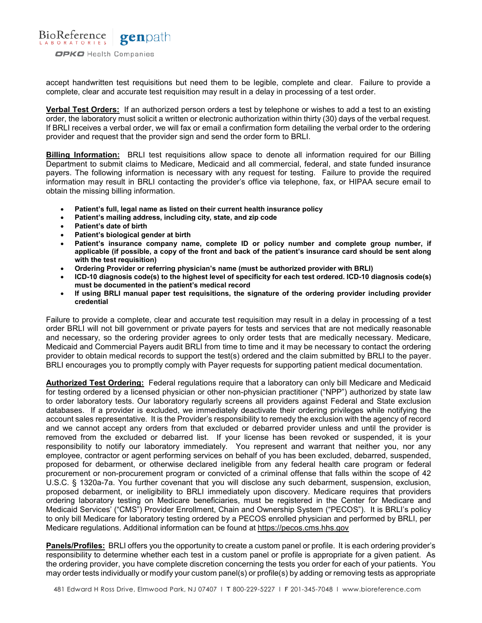

accept handwritten test requisitions but need them to be legible, complete and clear. Failure to provide a complete, clear and accurate test requisition may result in a delay in processing of a test order.

**Verbal Test Orders:** If an authorized person orders a test by telephone or wishes to add a test to an existing order, the laboratory must solicit a written or electronic authorization within thirty (30) days of the verbal request. If BRLI receives a verbal order, we will fax or email a confirmation form detailing the verbal order to the ordering provider and request that the provider sign and send the order form to BRLI.

**Billing Information:** BRLI test requisitions allow space to denote all information required for our Billing Department to submit claims to Medicare, Medicaid and all commercial, federal, and state funded insurance payers. The following information is necessary with any request for testing. Failure to provide the required information may result in BRLI contacting the provider's office via telephone, fax, or HIPAA secure email to obtain the missing billing information.

- **Patient's full, legal name as listed on their current health insurance policy**
- **Patient's mailing address, including city, state, and zip code**
- **Patient's date of birth**
- **Patient's biological gender at birth**
- **Patient's insurance company name, complete ID or policy number and complete group number, if applicable (if possible, a copy of the front and back of the patient's insurance card should be sent along with the test requisition)**
- **Ordering Provider or referring physician's name (must be authorized provider with BRLI)**
- **ICD-10 diagnosis code(s) to the highest level of specificity for each test ordered. ICD-10 diagnosis code(s) must be documented in the patient's medical record**
- **If using BRLI manual paper test requisitions, the signature of the ordering provider including provider credential**

Failure to provide a complete, clear and accurate test requisition may result in a delay in processing of a test order BRLI will not bill government or private payers for tests and services that are not medically reasonable and necessary, so the ordering provider agrees to only order tests that are medically necessary. Medicare, Medicaid and Commercial Payers audit BRLI from time to time and it may be necessary to contact the ordering provider to obtain medical records to support the test(s) ordered and the claim submitted by BRLI to the payer. BRLI encourages you to promptly comply with Payer requests for supporting patient medical documentation.

**Authorized Test Ordering:** Federal regulations require that a laboratory can only bill Medicare and Medicaid for testing ordered by a licensed physician or other non-physician practitioner ("NPP") authorized by state law to order laboratory tests. Our laboratory regularly screens all providers against Federal and State exclusion databases. If a provider is excluded, we immediately deactivate their ordering privileges while notifying the account sales representative. It is the Provider's responsibility to remedy the exclusion with the agency of record and we cannot accept any orders from that excluded or debarred provider unless and until the provider is removed from the excluded or debarred list. If your license has been revoked or suspended, it is your responsibility to notify our laboratory immediately. You represent and warrant that neither you, nor any employee, contractor or agent performing services on behalf of you has been excluded, debarred, suspended, proposed for debarment, or otherwise declared ineligible from any federal health care program or federal procurement or non-procurement program or convicted of a criminal offense that falls within the scope of 42 U.S.C. § 1320a-7a. You further covenant that you will disclose any such debarment, suspension, exclusion, proposed debarment, or ineligibility to BRLI immediately upon discovery. Medicare requires that providers ordering laboratory testing on Medicare beneficiaries, must be registered in the Center for Medicare and Medicaid Services' ("CMS") Provider Enrollment, Chain and Ownership System ("PECOS"). It is BRLI's policy to only bill Medicare for laboratory testing ordered by a PECOS enrolled physician and performed by BRLI, per Medicare regulations. Additional information can be found at [https://pecos.cms.hhs.gov](https://pecos.cms.hhs.gov/)

**Panels/Profiles:** BRLI offers you the opportunity to create a custom panel or profile. It is each ordering provider's responsibility to determine whether each test in a custom panel or profile is appropriate for a given patient. As the ordering provider, you have complete discretion concerning the tests you order for each of your patients. You may order tests individually or modify your custom panel(s) or profile(s) by adding or removing tests as appropriate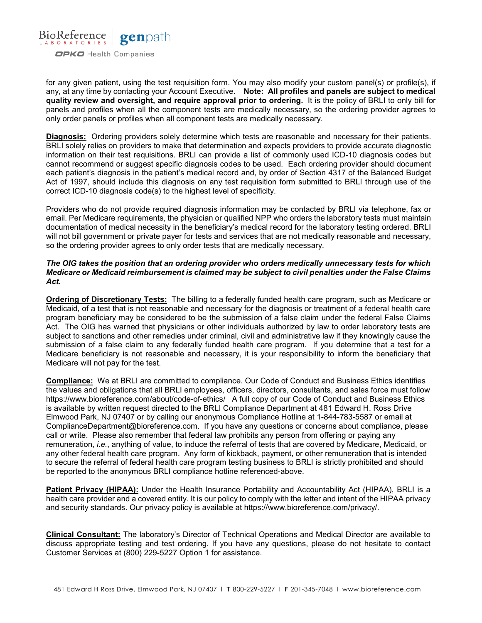

for any given patient, using the test requisition form. You may also modify your custom panel(s) or profile(s), if any, at any time by contacting your Account Executive. **Note: All profiles and panels are subject to medical quality review and oversight, and require approval prior to ordering.** It is the policy of BRLI to only bill for panels and profiles when all the component tests are medically necessary, so the ordering provider agrees to only order panels or profiles when all component tests are medically necessary.

**Diagnosis:** Ordering providers solely determine which tests are reasonable and necessary for their patients. BRLI solely relies on providers to make that determination and expects providers to provide accurate diagnostic information on their test requisitions. BRLI can provide a list of commonly used ICD-10 diagnosis codes but cannot recommend or suggest specific diagnosis codes to be used. Each ordering provider should document each patient's diagnosis in the patient's medical record and, by order of Section 4317 of the Balanced Budget Act of 1997, should include this diagnosis on any test requisition form submitted to BRLI through use of the correct ICD-10 diagnosis code(s) to the highest level of specificity.

Providers who do not provide required diagnosis information may be contacted by BRLI via telephone, fax or email. Per Medicare requirements, the physician or qualified NPP who orders the laboratory tests must maintain documentation of medical necessity in the beneficiary's medical record for the laboratory testing ordered. BRLI will not bill government or private payer for tests and services that are not medically reasonable and necessary, so the ordering provider agrees to only order tests that are medically necessary.

### *The OIG takes the position that an ordering provider who orders medically unnecessary tests for which Medicare or Medicaid reimbursement is claimed may be subject to civil penalties under the False Claims Act.*

**Ordering of Discretionary Tests:** The billing to a federally funded health care program, such as Medicare or Medicaid, of a test that is not reasonable and necessary for the diagnosis or treatment of a federal health care program beneficiary may be considered to be the submission of a false claim under the federal False Claims Act. The OIG has warned that physicians or other individuals authorized by law to order laboratory tests are subject to sanctions and other remedies under criminal, civil and administrative law if they knowingly cause the submission of a false claim to any federally funded health care program. If you determine that a test for a Medicare beneficiary is not reasonable and necessary, it is your responsibility to inform the beneficiary that Medicare will not pay for the test.

**Compliance:** We at BRLI are committed to compliance. Our Code of Conduct and Business Ethics identifies the values and obligations that all BRLI employees, officers, directors, consultants, and sales force must follow <https://www.bioreference.com/about/code-of-ethics/> A full copy of our Code of Conduct and Business Ethics is available by written request directed to the BRLI Compliance Department at 481 Edward H. Ross Drive Elmwood Park, NJ 07407 or by calling our anonymous Compliance Hotline at 1-844-783-5587 or email at [ComplianceDepartment@bioreference.com.](mailto:ComplianceDepartment@bioreference.com) If you have any questions or concerns about compliance, please call or write. Please also remember that federal law prohibits any person from offering or paying any remuneration, *i.e.*, anything of value, to induce the referral of tests that are covered by Medicare, Medicaid, or any other federal health care program. Any form of kickback, payment, or other remuneration that is intended to secure the referral of federal health care program testing business to BRLI is strictly prohibited and should be reported to the anonymous BRLI compliance hotline referenced-above.

**Patient Privacy (HIPAA):** Under the Health Insurance Portability and Accountability Act (HIPAA), BRLI is a health care provider and a covered entity. It is our policy to comply with the letter and intent of the HIPAA privacy and security standards. Our privacy policy is available at [https://www.bioreference.com/privacy/.](https://www.bioreference.com/privacy/)

**Clinical Consultant:** The laboratory's Director of Technical Operations and Medical Director are available to discuss appropriate testing and test ordering. If you have any questions, please do not hesitate to contact Customer Services at (800) 229-5227 Option 1 for assistance.